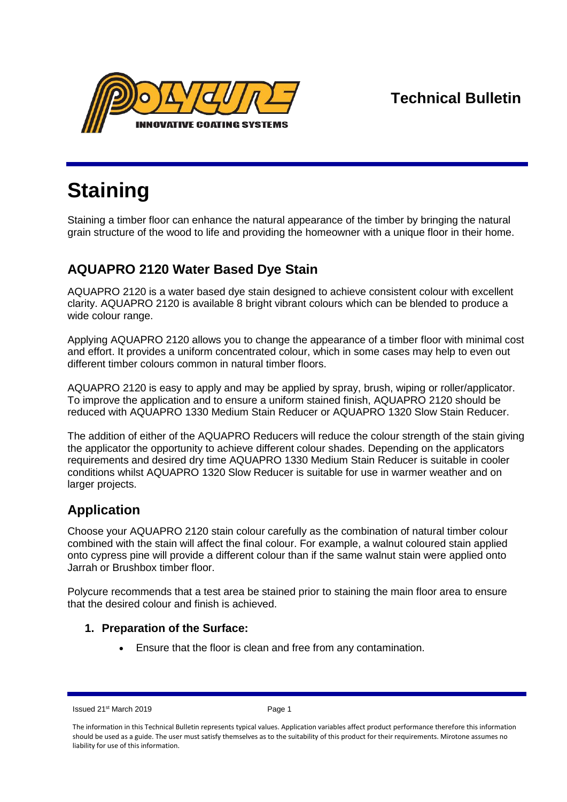**Technical Bulletin**



# **Staining**

Staining a timber floor can enhance the natural appearance of the timber by bringing the natural grain structure of the wood to life and providing the homeowner with a unique floor in their home.

# **AQUAPRO 2120 Water Based Dye Stain**

AQUAPRO 2120 is a water based dye stain designed to achieve consistent colour with excellent clarity. AQUAPRO 2120 is available 8 bright vibrant colours which can be blended to produce a wide colour range.

Applying AQUAPRO 2120 allows you to change the appearance of a timber floor with minimal cost and effort. It provides a uniform concentrated colour, which in some cases may help to even out different timber colours common in natural timber floors.

AQUAPRO 2120 is easy to apply and may be applied by spray, brush, wiping or roller/applicator. To improve the application and to ensure a uniform stained finish, AQUAPRO 2120 should be reduced with AQUAPRO 1330 Medium Stain Reducer or AQUAPRO 1320 Slow Stain Reducer.

The addition of either of the AQUAPRO Reducers will reduce the colour strength of the stain giving the applicator the opportunity to achieve different colour shades. Depending on the applicators requirements and desired dry time AQUAPRO 1330 Medium Stain Reducer is suitable in cooler conditions whilst AQUAPRO 1320 Slow Reducer is suitable for use in warmer weather and on larger projects.

# **Application**

Choose your AQUAPRO 2120 stain colour carefully as the combination of natural timber colour combined with the stain will affect the final colour. For example, a walnut coloured stain applied onto cypress pine will provide a different colour than if the same walnut stain were applied onto Jarrah or Brushbox timber floor.

Polycure recommends that a test area be stained prior to staining the main floor area to ensure that the desired colour and finish is achieved.

# **1. Preparation of the Surface:**

Ensure that the floor is clean and free from any contamination.

Issued 21<sup>st</sup> March 2019 **Page 1** 

The information in this Technical Bulletin represents typical values. Application variables affect product performance therefore this information should be used as a guide. The user must satisfy themselves as to the suitability of this product for their requirements. Mirotone assumes no liability for use of this information.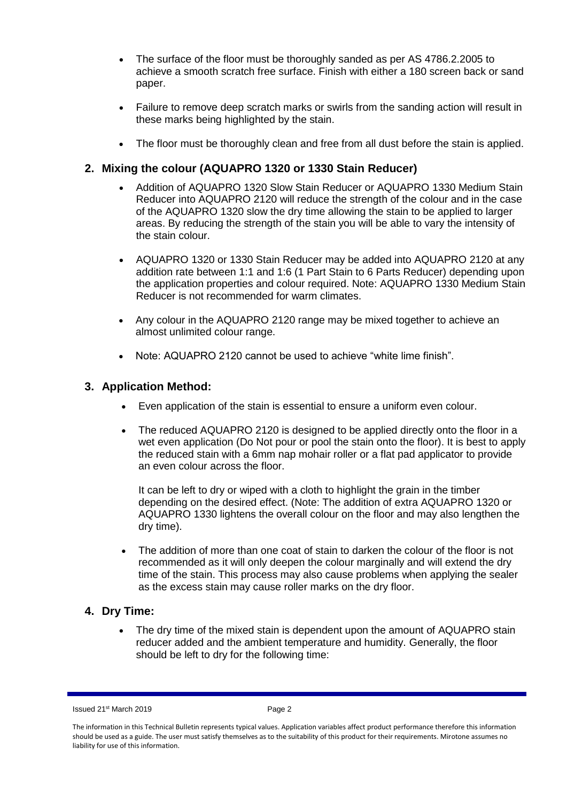- The surface of the floor must be thoroughly sanded as per AS 4786.2.2005 to achieve a smooth scratch free surface. Finish with either a 180 screen back or sand paper.
- Failure to remove deep scratch marks or swirls from the sanding action will result in these marks being highlighted by the stain.
- The floor must be thoroughly clean and free from all dust before the stain is applied.

## **2. Mixing the colour (AQUAPRO 1320 or 1330 Stain Reducer)**

- Addition of AQUAPRO 1320 Slow Stain Reducer or AQUAPRO 1330 Medium Stain Reducer into AQUAPRO 2120 will reduce the strength of the colour and in the case of the AQUAPRO 1320 slow the dry time allowing the stain to be applied to larger areas. By reducing the strength of the stain you will be able to vary the intensity of the stain colour.
- AQUAPRO 1320 or 1330 Stain Reducer may be added into AQUAPRO 2120 at any addition rate between 1:1 and 1:6 (1 Part Stain to 6 Parts Reducer) depending upon the application properties and colour required. Note: AQUAPRO 1330 Medium Stain Reducer is not recommended for warm climates.
- Any colour in the AQUAPRO 2120 range may be mixed together to achieve an almost unlimited colour range.
- Note: AQUAPRO 2120 cannot be used to achieve "white lime finish".

## **3. Application Method:**

- Even application of the stain is essential to ensure a uniform even colour.
- The reduced AQUAPRO 2120 is designed to be applied directly onto the floor in a wet even application (Do Not pour or pool the stain onto the floor). It is best to apply the reduced stain with a 6mm nap mohair roller or a flat pad applicator to provide an even colour across the floor.

It can be left to dry or wiped with a cloth to highlight the grain in the timber depending on the desired effect. (Note: The addition of extra AQUAPRO 1320 or AQUAPRO 1330 lightens the overall colour on the floor and may also lengthen the dry time).

 The addition of more than one coat of stain to darken the colour of the floor is not recommended as it will only deepen the colour marginally and will extend the dry time of the stain. This process may also cause problems when applying the sealer as the excess stain may cause roller marks on the dry floor.

#### **4. Dry Time:**

 The dry time of the mixed stain is dependent upon the amount of AQUAPRO stain reducer added and the ambient temperature and humidity. Generally, the floor should be left to dry for the following time:

Issued 21st March 2019 Page 2

The information in this Technical Bulletin represents typical values. Application variables affect product performance therefore this information should be used as a guide. The user must satisfy themselves as to the suitability of this product for their requirements. Mirotone assumes no liability for use of this information.